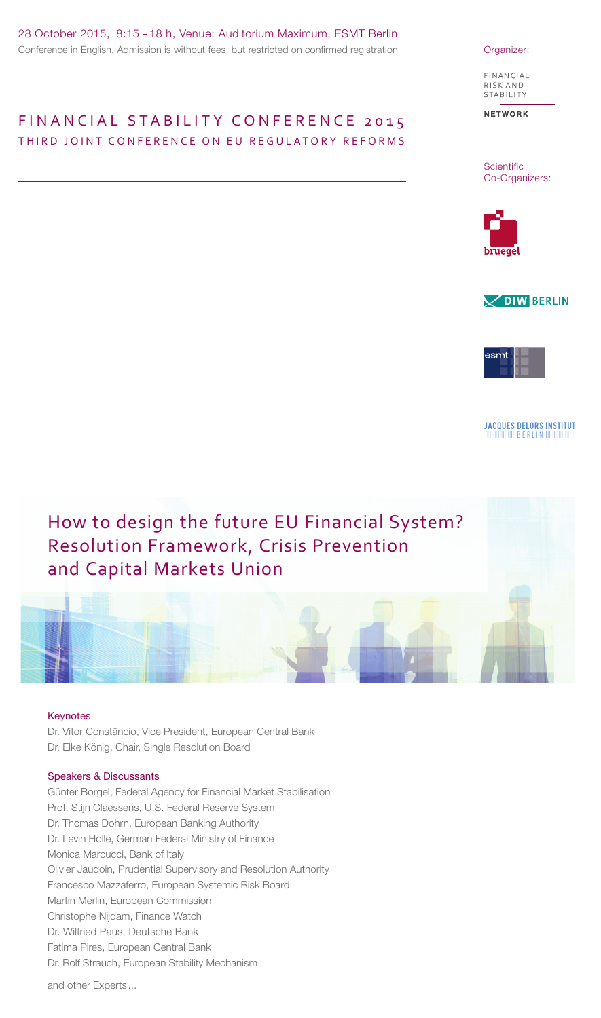### FIN AN CIAL STABILITY CONFERENCE 2015 THIRD JOINT CONFERENCE ON EU REGULATORY REFORMS

FINANCIAL RISK AND STABILITY

**NETWORK** 

**Scientific** Co-Organizers:







**JACQUES DELORS INSTITUT THE THE REAL AND SERVER THE THE THE REAL PROPERTY.** 

# How to design the future EU Financial System? Resolution Framework, Crisis Prevention and Capital Markets Union

### Keynotes

Dr. Vitor Constâncio, Vice President, European Central Bank Dr. Elke König, Chair, Single Resolution Board

### Speakers & Discussants

Günter Borgel, Federal Agency for Financial Market Stabilisation Prof. Stijn Claessens, U.S. Federal Reserve System Dr. Thomas Dohrn, European Banking Authority Dr. Levin Holle, German Federal Ministry of Finance Monica Marcucci, Bank of Italy Olivier Jaudoin, Prudential Supervisory and Resolution Authority Francesco Mazzaferro, European Systemic Risk Board Martin Merlin, European Commission Christophe Nijdam, Finance Watch Dr. Wilfried Paus, Deutsche Bank Fatima Pires, European Central Bank Dr. Rolf Strauch, European Stability Mechanism

and other Experts ...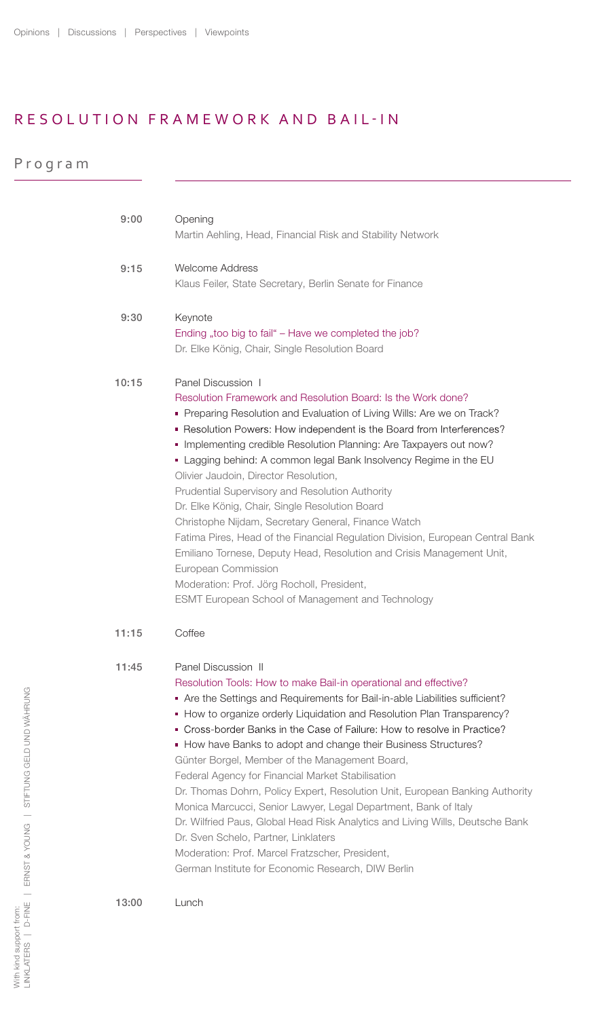## RESOLUTION FRAMEWORK AND BAIL-IN

|  |  |  |  |  |  | Program |
|--|--|--|--|--|--|---------|
|--|--|--|--|--|--|---------|

| 9:00  | Opening<br>Martin Aehling, Head, Financial Risk and Stability Network                                                                                                                                                                                                                                                                                                                                                                                                                                                                                                                                                                                                                                                                                                                                                                                                                       |  |  |  |  |
|-------|---------------------------------------------------------------------------------------------------------------------------------------------------------------------------------------------------------------------------------------------------------------------------------------------------------------------------------------------------------------------------------------------------------------------------------------------------------------------------------------------------------------------------------------------------------------------------------------------------------------------------------------------------------------------------------------------------------------------------------------------------------------------------------------------------------------------------------------------------------------------------------------------|--|--|--|--|
| 9:15  | <b>Welcome Address</b><br>Klaus Feiler, State Secretary, Berlin Senate for Finance                                                                                                                                                                                                                                                                                                                                                                                                                                                                                                                                                                                                                                                                                                                                                                                                          |  |  |  |  |
| 9:30  | Keynote<br>Ending "too big to fail" - Have we completed the job?<br>Dr. Elke König, Chair, Single Resolution Board                                                                                                                                                                                                                                                                                                                                                                                                                                                                                                                                                                                                                                                                                                                                                                          |  |  |  |  |
| 10:15 | Panel Discussion 1<br>Resolution Framework and Resolution Board: Is the Work done?<br>• Preparing Resolution and Evaluation of Living Wills: Are we on Track?<br>Resolution Powers: How independent is the Board from Interferences?<br>Implementing credible Resolution Planning: Are Taxpayers out now?<br>• Lagging behind: A common legal Bank Insolvency Regime in the EU<br>Olivier Jaudoin, Director Resolution,<br>Prudential Supervisory and Resolution Authority<br>Dr. Elke König, Chair, Single Resolution Board<br>Christophe Nijdam, Secretary General, Finance Watch<br>Fatima Pires, Head of the Financial Regulation Division, European Central Bank<br>Emiliano Tornese, Deputy Head, Resolution and Crisis Management Unit,<br>European Commission<br>Moderation: Prof. Jörg Rocholl, President,<br><b>ESMT European School of Management and Technology</b>             |  |  |  |  |
| 11:15 | Coffee                                                                                                                                                                                                                                                                                                                                                                                                                                                                                                                                                                                                                                                                                                                                                                                                                                                                                      |  |  |  |  |
| 11:45 | Panel Discussion II<br>Resolution Tools: How to make Bail-in operational and effective?<br>Are the Settings and Requirements for Bail-in-able Liabilities sufficient?<br>• How to organize orderly Liquidation and Resolution Plan Transparency?<br>■ Cross-border Banks in the Case of Failure: How to resolve in Practice?<br>• How have Banks to adopt and change their Business Structures?<br>Günter Borgel, Member of the Management Board,<br>Federal Agency for Financial Market Stabilisation<br>Dr. Thomas Dohrn, Policy Expert, Resolution Unit, European Banking Authority<br>Monica Marcucci, Senior Lawyer, Legal Department, Bank of Italy<br>Dr. Wilfried Paus, Global Head Risk Analytics and Living Wills, Deutsche Bank<br>Dr. Sven Schelo, Partner, Linklaters<br>Moderation: Prof. Marcel Fratzscher, President,<br>German Institute for Economic Research, DIW Berlin |  |  |  |  |
| 13:00 | Lunch                                                                                                                                                                                                                                                                                                                                                                                                                                                                                                                                                                                                                                                                                                                                                                                                                                                                                       |  |  |  |  |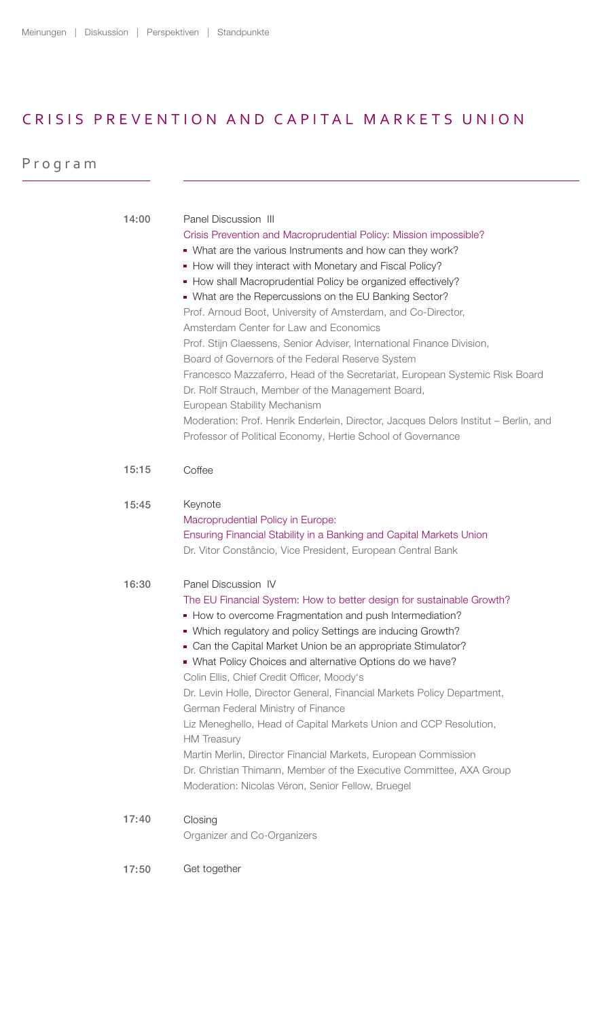### CRISIS PREVENTION AND CAPITAL MARKETS UNION

| Program |       |                                                                                                                                                                                                                                                                                                                                                                                                                                                                                                                                                                                                                                                                                                                                                                                                                                                                                                                 |
|---------|-------|-----------------------------------------------------------------------------------------------------------------------------------------------------------------------------------------------------------------------------------------------------------------------------------------------------------------------------------------------------------------------------------------------------------------------------------------------------------------------------------------------------------------------------------------------------------------------------------------------------------------------------------------------------------------------------------------------------------------------------------------------------------------------------------------------------------------------------------------------------------------------------------------------------------------|
|         |       |                                                                                                                                                                                                                                                                                                                                                                                                                                                                                                                                                                                                                                                                                                                                                                                                                                                                                                                 |
|         | 14:00 | Panel Discussion III<br>Crisis Prevention and Macroprudential Policy: Mission impossible?<br>• What are the various Instruments and how can they work?<br>• How will they interact with Monetary and Fiscal Policy?<br>• How shall Macroprudential Policy be organized effectively?<br>• What are the Repercussions on the EU Banking Sector?<br>Prof. Arnoud Boot, University of Amsterdam, and Co-Director,<br>Amsterdam Center for Law and Economics<br>Prof. Stijn Claessens, Senior Adviser, International Finance Division,<br>Board of Governors of the Federal Reserve System<br>Francesco Mazzaferro, Head of the Secretariat, European Systemic Risk Board<br>Dr. Rolf Strauch, Member of the Management Board,<br>European Stability Mechanism<br>Moderation: Prof. Henrik Enderlein, Director, Jacques Delors Institut - Berlin, and<br>Professor of Political Economy, Hertie School of Governance |
|         | 15:15 | Coffee                                                                                                                                                                                                                                                                                                                                                                                                                                                                                                                                                                                                                                                                                                                                                                                                                                                                                                          |
|         | 15:45 | Keynote<br>Macroprudential Policy in Europe:<br>Ensuring Financial Stability in a Banking and Capital Markets Union<br>Dr. Vitor Constâncio, Vice President, European Central Bank                                                                                                                                                                                                                                                                                                                                                                                                                                                                                                                                                                                                                                                                                                                              |
|         | 16:30 | Panel Discussion IV<br>The EU Financial System: How to better design for sustainable Growth?<br>• How to overcome Fragmentation and push Intermediation?<br>• Which regulatory and policy Settings are inducing Growth?<br>• Can the Capital Market Union be an appropriate Stimulator?<br>• What Policy Choices and alternative Options do we have?<br>Colin Ellis, Chief Credit Officer, Moody's<br>Dr. Levin Holle, Director General, Financial Markets Policy Department,<br>German Federal Ministry of Finance<br>Liz Meneghello, Head of Capital Markets Union and CCP Resolution,<br><b>HM</b> Treasury<br>Martin Merlin, Director Financial Markets, European Commission<br>Dr. Christian Thimann, Member of the Executive Committee, AXA Group<br>Moderation: Nicolas Véron, Senior Fellow, Bruegel                                                                                                    |
|         | 17:40 | Closing<br>Organizer and Co-Organizers                                                                                                                                                                                                                                                                                                                                                                                                                                                                                                                                                                                                                                                                                                                                                                                                                                                                          |
|         | 17:50 | Get together                                                                                                                                                                                                                                                                                                                                                                                                                                                                                                                                                                                                                                                                                                                                                                                                                                                                                                    |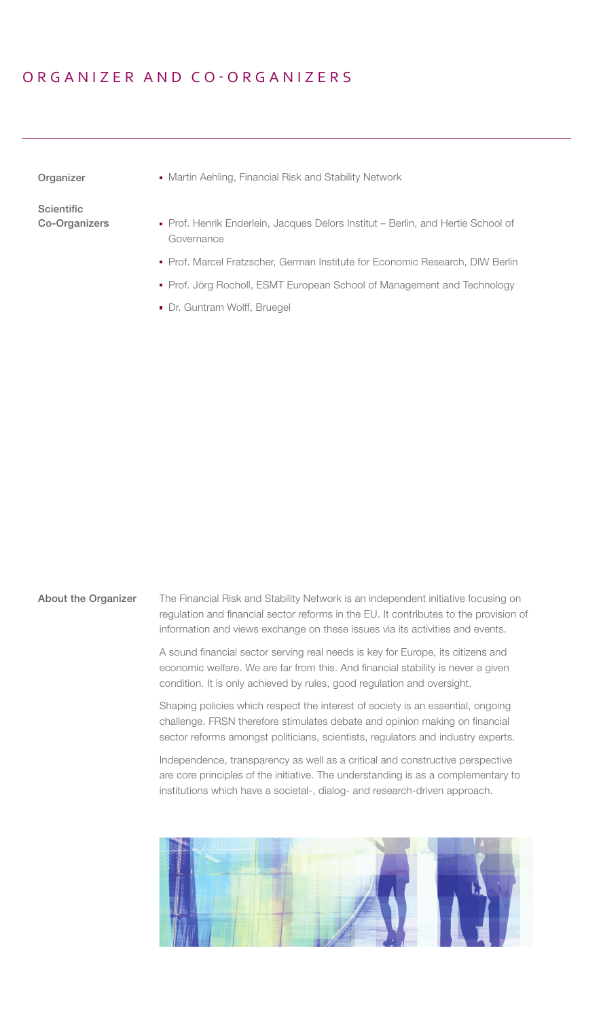### ORGANIZER AND CO-ORGANIZERS

Organizer

Martin Aehling, Financial Risk and Stability Network

**Scientific** Co-Organizers

- **Prof. Henrik Enderlein, Jacques Delors Institut Berlin, and Hertie School of** Governance
- **Prof. Marcel Fratzscher, German Institute for Economic Research, DIW Berlin**
- **Prof. Jörg Rocholl, ESMT European School of Management and Technology**
- Dr. Guntram Wolff, Bruegel

The Financial Risk and Stability Network is an independent initiative focusing on regulation and financial sector reforms in the EU. It contributes to the provision of information and views exchange on these issues via its activities and events. About the Organizer

> A sound financial sector serving real needs is key for Europe, its citizens and economic welfare. We are far from this. And financial stability is never a given condition. It is only achieved by rules, good regulation and oversight.

Shaping policies which respect the interest of society is an essential, ongoing challenge. FRSN therefore stimulates debate and opinion making on financial sector reforms amongst politicians, scientists, regulators and industry experts.

Independence, transparency as well as a critical and constructive perspective are core principles of the initiative. The understanding is as a complementary to institutions which have a societal-, dialog- and research-driven approach.

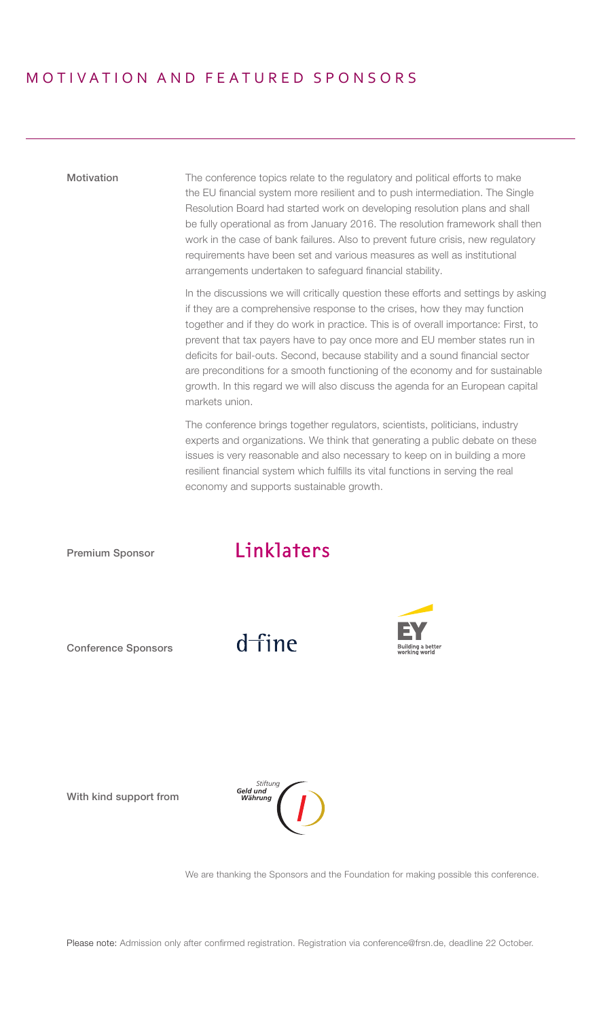### MOTIV ATION AND FEATURED SPONSORS

Motivation The conference topics relate to the regulatory and political efforts to make the EU financial system more resilient and to push intermediation. The Single Resolution Board had started work on developing resolution plans and shall be fully operational as from January 2016. The resolution framework shall then work in the case of bank failures. Also to prevent future crisis, new regulatory requirements have been set and various measures as well as institutional arrangements undertaken to safeguard financial stability.

> In the discussions we will critically question these efforts and settings by asking if they are a comprehensive response to the crises, how they may function together and if they do work in practice. This is of overall importance: First, to prevent that tax payers have to pay once more and EU member states run in deficits for bail-outs. Second, because stability and a sound financial sector are preconditions for a smooth functioning of the economy and for sustainable growth. In this regard we will also discuss the agenda for an European capital markets union.

The conference brings together regulators, scientists, politicians, industry experts and organizations. We think that generating a public debate on these issues is very reasonable and also necessary to keep on in building a more resilient financial system which fulfills its vital functions in serving the real economy and supports sustainable growth.



Please note: Admission only after confirmed registration. Registration via conference@frsn.de, deadline 22 October.